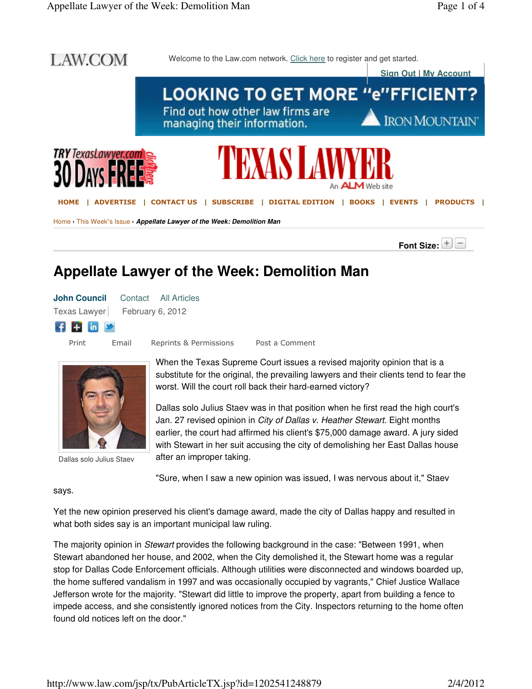

### **Appellate Lawyer of the Week: Demolition Man**

|                               |       | <b>John Council</b> Contact All Articles |                |
|-------------------------------|-------|------------------------------------------|----------------|
| Texas Lawyer February 6, 2012 |       |                                          |                |
| <b>f H</b> in <b>y</b>        |       |                                          |                |
| Print                         | Email | Reprints & Permissions                   | Post a Comment |

Dallas solo Julius Staev

When the Texas Supreme Court issues a revised majority opinion that is a substitute for the original, the prevailing lawyers and their clients tend to fear the worst. Will the court roll back their hard-earned victory?

Dallas solo Julius Staev was in that position when he first read the high court's Jan. 27 revised opinion in City of Dallas v. Heather Stewart. Eight months earlier, the court had affirmed his client's \$75,000 damage award. A jury sided with Stewart in her suit accusing the city of demolishing her East Dallas house after an improper taking.

"Sure, when I saw a new opinion was issued, I was nervous about it," Staev

says.

Yet the new opinion preserved his client's damage award, made the city of Dallas happy and resulted in what both sides say is an important municipal law ruling.

The majority opinion in *Stewart* provides the following background in the case: "Between 1991, when Stewart abandoned her house, and 2002, when the City demolished it, the Stewart home was a regular stop for Dallas Code Enforcement officials. Although utilities were disconnected and windows boarded up, the home suffered vandalism in 1997 and was occasionally occupied by vagrants," Chief Justice Wallace Jefferson wrote for the majority. "Stewart did little to improve the property, apart from building a fence to impede access, and she consistently ignored notices from the City. Inspectors returning to the home often found old notices left on the door."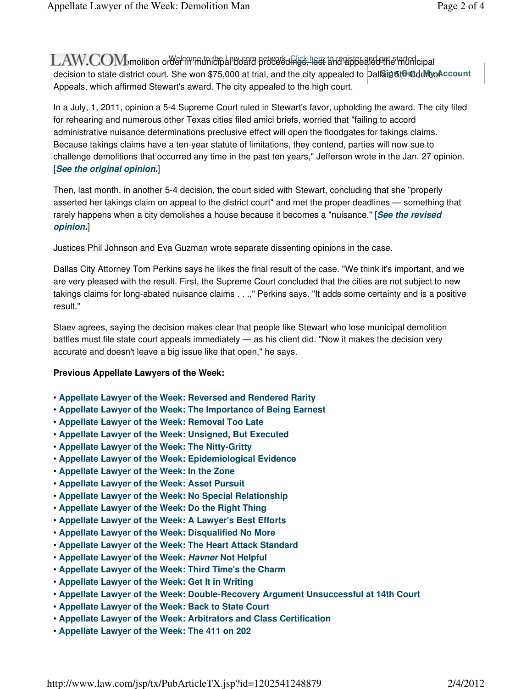${\rm LAW. COM}$  , molition order minicipal board proceedings, less and appealed the intimicipal  ${\rm LAW}$ decision to state district court. She won \$75,000 at trial, and the city appealed to Dall**Ձig 5th መdul⁄tyoAccount** Appeals, which affirmed Stewart's award. The city appealed to the high court.

In a July, 1, 2011, opinion a 5-4 Supreme Court ruled in Stewart's favor, upholding the award. The city filed for rehearing and numerous other Texas cities filed amici briefs, worried that "failing to accord administrative nuisance determinations preclusive effect will open the floodgates for takings claims. Because takings claims have a ten-year statute of limitations, they contend, parties will now sue to challenge demolitions that occurred any time in the past ten years," Jefferson wrote in the Jan. 27 opinion. [**See the original opinion.**]

Then, last month, in another 5-4 decision, the court sided with Stewart, concluding that she "properly asserted her takings claim on appeal to the district court" and met the proper deadlines — something that rarely happens when a city demolishes a house because it becomes a "nuisance." [**See the revised opinion.**]

Justices Phil Johnson and Eva Guzman wrote separate dissenting opinions in the case.

Dallas City Attorney Tom Perkins says he likes the final result of the case. "We think it's important, and we are very pleased with the result. First, the Supreme Court concluded that the cities are not subject to new takings claims for long-abated nuisance claims . . .," Perkins says. "It adds some certainty and is a positive result."

Staev agrees, saying the decision makes clear that people like Stewart who lose municipal demolition battles must file state court appeals immediately — as his client did. "Now it makes the decision very accurate and doesn't leave a big issue like that open," he says.

#### **Previous Appellate Lawyers of the Week:**

- **Appellate Lawyer of the Week: Reversed and Rendered Rarity**
- **Appellate Lawyer of the Week: The Importance of Being Earnest**
- **Appellate Lawyer of the Week: Removal Too Late**
- **Appellate Lawyer of the Week: Unsigned, But Executed**
- **Appellate Lawyer of the Week: The Nitty-Gritty**
- **Appellate Lawyer of the Week: Epidemiological Evidence**
- **Appellate Lawyer of the Week: In the Zone**
- **Appellate Lawyer of the Week: Asset Pursuit**
- **Appellate Lawyer of the Week: No Special Relationship**
- **Appellate Lawyer of the Week: Do the Right Thing**
- **Appellate Lawyer of the Week: A Lawyer's Best Efforts**
- **Appellate Lawyer of the Week: Disqualified No More**
- **Appellate Lawyer of the Week: The Heart Attack Standard**
- **Appellate Lawyer of the Week: Havner Not Helpful**
- **Appellate Lawyer of the Week: Third Time's the Charm**
- **Appellate Lawyer of the Week: Get It in Writing**
- **Appellate Lawyer of the Week: Double-Recovery Argument Unsuccessful at 14th Court**
- **Appellate Lawyer of the Week: Back to State Court**
- **Appellate Lawyer of the Week: Arbitrators and Class Certification**
- **Appellate Lawyer of the Week: The 411 on 202**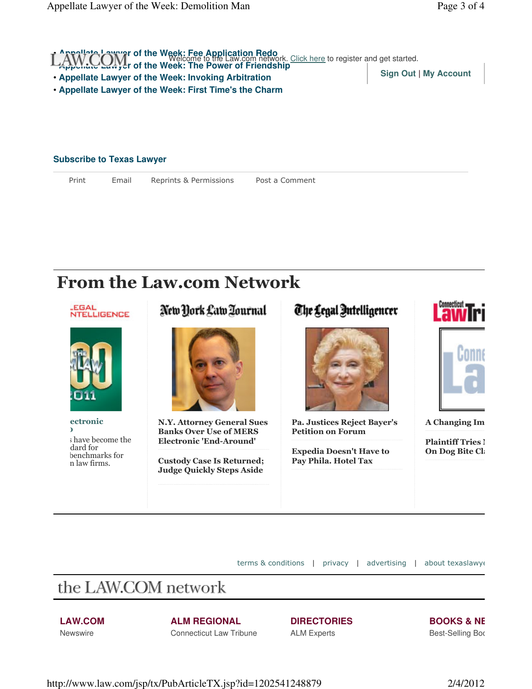

Print Email Reprints & Permissions Post a Comment

## From the Law.com Network



terms & conditions | privacy | advertising | about texaslawyer

# the LAW.COM network

#### **LAW.COM**

**Newswire** 

**ALM REGIONAL** Connecticut Law Tribune **DIRECTORIES**

ALM Experts

**BOOKS & NE** 

Best-Selling Boo

http://www.law.com/jsp/tx/PubArticleTX.jsp?id=1202541248879 2/4/2012